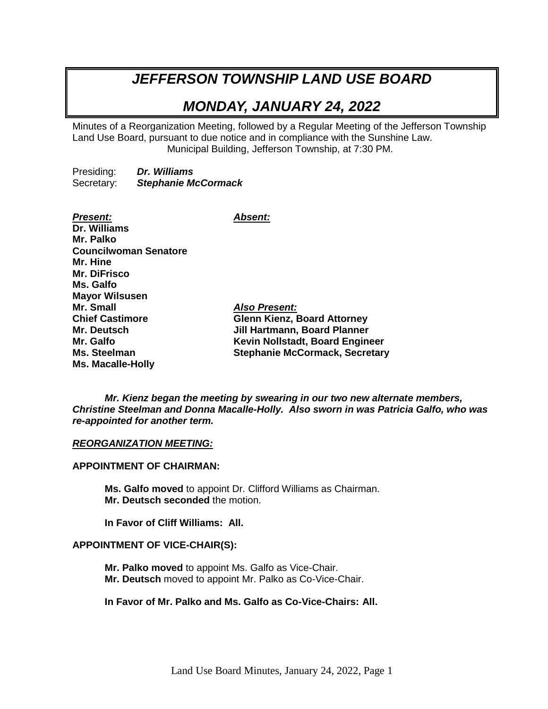# *JEFFERSON TOWNSHIP LAND USE BOARD*

## *MONDAY, JANUARY 24, 2022*

Minutes of a Reorganization Meeting, followed by a Regular Meeting of the Jefferson Township Land Use Board, pursuant to due notice and in compliance with the Sunshine Law. Municipal Building, Jefferson Township, at 7:30 PM.

Presiding: *Dr. Williams* Secretary: *Stephanie McCormack*

*Present: Absent:* **Dr. Williams Mr. Palko Councilwoman Senatore Mr. Hine Mr. DiFrisco Ms. Galfo Mayor Wilsusen Mr. Small** *Also Present:* **Chief Castimore Glenn Kienz, Board Attorney Mr. Deutsch Jill Hartmann, Board Planner Mr. Galfo Kevin Nollstadt, Board Engineer Ms. Steelman Stephanie McCormack, Secretary Ms. Macalle-Holly**

*Mr. Kienz began the meeting by swearing in our two new alternate members, Christine Steelman and Donna Macalle-Holly. Also sworn in was Patricia Galfo, who was re-appointed for another term.*

#### *REORGANIZATION MEETING:*

#### **APPOINTMENT OF CHAIRMAN:**

**Ms. Galfo moved** to appoint Dr. Clifford Williams as Chairman. **Mr. Deutsch seconded** the motion.

**In Favor of Cliff Williams: All.**

#### **APPOINTMENT OF VICE-CHAIR(S):**

**Mr. Palko moved** to appoint Ms. Galfo as Vice-Chair. **Mr. Deutsch** moved to appoint Mr. Palko as Co-Vice-Chair.

## **In Favor of Mr. Palko and Ms. Galfo as Co-Vice-Chairs: All.**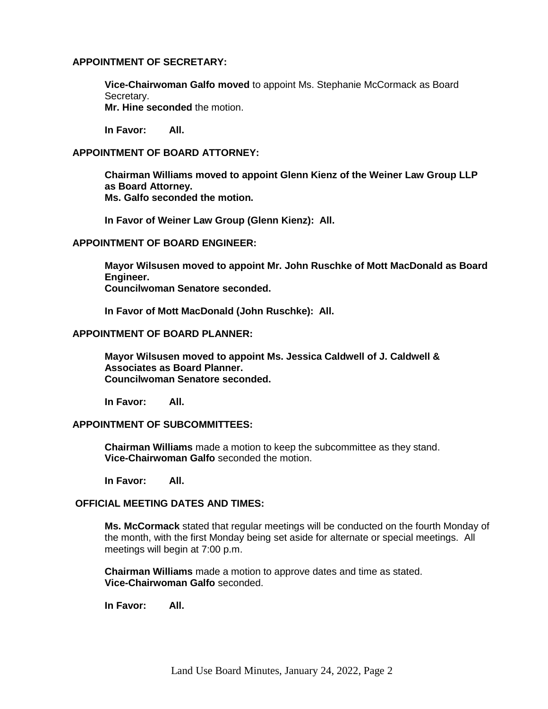#### **APPOINTMENT OF SECRETARY:**

**Vice-Chairwoman Galfo moved** to appoint Ms. Stephanie McCormack as Board Secretary.

**Mr. Hine seconded** the motion.

**In Favor: All.**

### **APPOINTMENT OF BOARD ATTORNEY:**

**Chairman Williams moved to appoint Glenn Kienz of the Weiner Law Group LLP as Board Attorney. Ms. Galfo seconded the motion.**

**In Favor of Weiner Law Group (Glenn Kienz): All.**

### **APPOINTMENT OF BOARD ENGINEER:**

**Mayor Wilsusen moved to appoint Mr. John Ruschke of Mott MacDonald as Board Engineer. Councilwoman Senatore seconded.**

**In Favor of Mott MacDonald (John Ruschke): All.**

#### **APPOINTMENT OF BOARD PLANNER:**

**Mayor Wilsusen moved to appoint Ms. Jessica Caldwell of J. Caldwell & Associates as Board Planner. Councilwoman Senatore seconded.**

**In Favor: All.**

### **APPOINTMENT OF SUBCOMMITTEES:**

**Chairman Williams** made a motion to keep the subcommittee as they stand. **Vice-Chairwoman Galfo** seconded the motion.

**In Favor: All.**

## **OFFICIAL MEETING DATES AND TIMES:**

**Ms. McCormack** stated that regular meetings will be conducted on the fourth Monday of the month, with the first Monday being set aside for alternate or special meetings. All meetings will begin at 7:00 p.m.

**Chairman Williams** made a motion to approve dates and time as stated. **Vice-Chairwoman Galfo** seconded.

**In Favor: All.**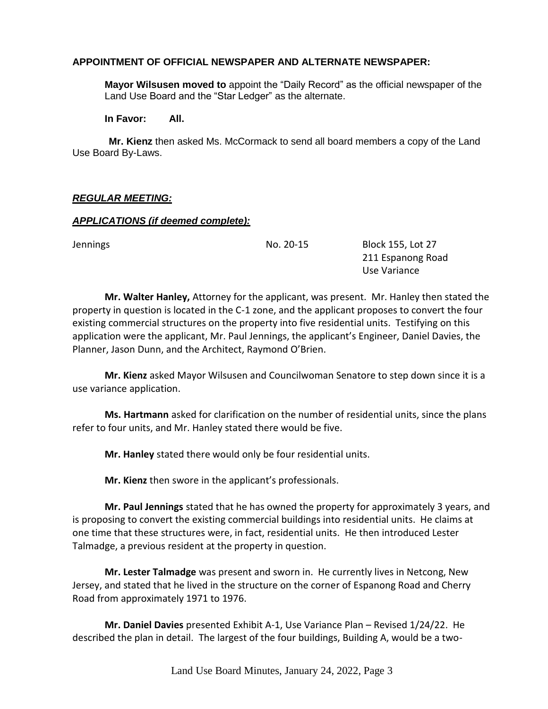## **APPOINTMENT OF OFFICIAL NEWSPAPER AND ALTERNATE NEWSPAPER:**

**Mayor Wilsusen moved to** appoint the "Daily Record" as the official newspaper of the Land Use Board and the "Star Ledger" as the alternate.

**In Favor: All.**

**Mr. Kienz** then asked Ms. McCormack to send all board members a copy of the Land Use Board By-Laws.

### *REGULAR MEETING:*

#### *APPLICATIONS (if deemed complete):*

Jennings No. 20-15 Block 155, Lot 27 211 Espanong Road Use Variance

**Mr. Walter Hanley,** Attorney for the applicant, was present. Mr. Hanley then stated the property in question is located in the C-1 zone, and the applicant proposes to convert the four existing commercial structures on the property into five residential units. Testifying on this application were the applicant, Mr. Paul Jennings, the applicant's Engineer, Daniel Davies, the Planner, Jason Dunn, and the Architect, Raymond O'Brien.

**Mr. Kienz** asked Mayor Wilsusen and Councilwoman Senatore to step down since it is a use variance application.

**Ms. Hartmann** asked for clarification on the number of residential units, since the plans refer to four units, and Mr. Hanley stated there would be five.

**Mr. Hanley** stated there would only be four residential units.

**Mr. Kienz** then swore in the applicant's professionals.

**Mr. Paul Jennings** stated that he has owned the property for approximately 3 years, and is proposing to convert the existing commercial buildings into residential units. He claims at one time that these structures were, in fact, residential units. He then introduced Lester Talmadge, a previous resident at the property in question.

**Mr. Lester Talmadge** was present and sworn in. He currently lives in Netcong, New Jersey, and stated that he lived in the structure on the corner of Espanong Road and Cherry Road from approximately 1971 to 1976.

**Mr. Daniel Davies** presented Exhibit A-1, Use Variance Plan – Revised 1/24/22. He described the plan in detail. The largest of the four buildings, Building A, would be a two-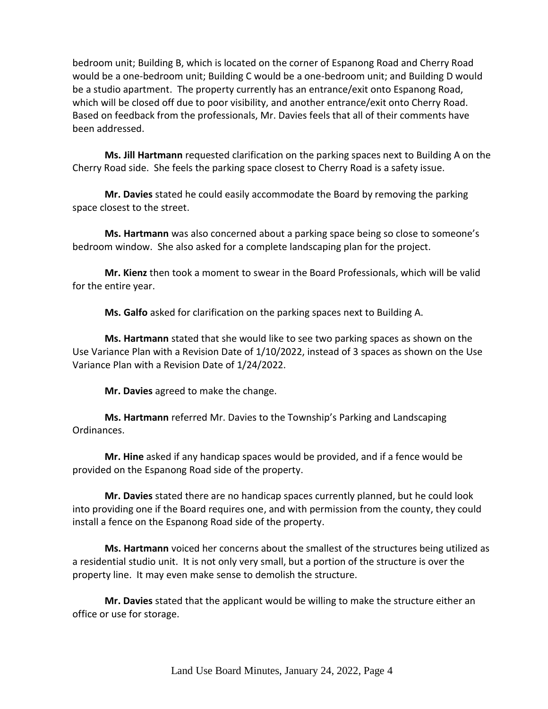bedroom unit; Building B, which is located on the corner of Espanong Road and Cherry Road would be a one-bedroom unit; Building C would be a one-bedroom unit; and Building D would be a studio apartment. The property currently has an entrance/exit onto Espanong Road, which will be closed off due to poor visibility, and another entrance/exit onto Cherry Road. Based on feedback from the professionals, Mr. Davies feels that all of their comments have been addressed.

**Ms. Jill Hartmann** requested clarification on the parking spaces next to Building A on the Cherry Road side. She feels the parking space closest to Cherry Road is a safety issue.

**Mr. Davies** stated he could easily accommodate the Board by removing the parking space closest to the street.

**Ms. Hartmann** was also concerned about a parking space being so close to someone's bedroom window. She also asked for a complete landscaping plan for the project.

**Mr. Kienz** then took a moment to swear in the Board Professionals, which will be valid for the entire year.

**Ms. Galfo** asked for clarification on the parking spaces next to Building A.

**Ms. Hartmann** stated that she would like to see two parking spaces as shown on the Use Variance Plan with a Revision Date of 1/10/2022, instead of 3 spaces as shown on the Use Variance Plan with a Revision Date of 1/24/2022.

**Mr. Davies** agreed to make the change.

**Ms. Hartmann** referred Mr. Davies to the Township's Parking and Landscaping Ordinances.

**Mr. Hine** asked if any handicap spaces would be provided, and if a fence would be provided on the Espanong Road side of the property.

**Mr. Davies** stated there are no handicap spaces currently planned, but he could look into providing one if the Board requires one, and with permission from the county, they could install a fence on the Espanong Road side of the property.

**Ms. Hartmann** voiced her concerns about the smallest of the structures being utilized as a residential studio unit. It is not only very small, but a portion of the structure is over the property line. It may even make sense to demolish the structure.

**Mr. Davies** stated that the applicant would be willing to make the structure either an office or use for storage.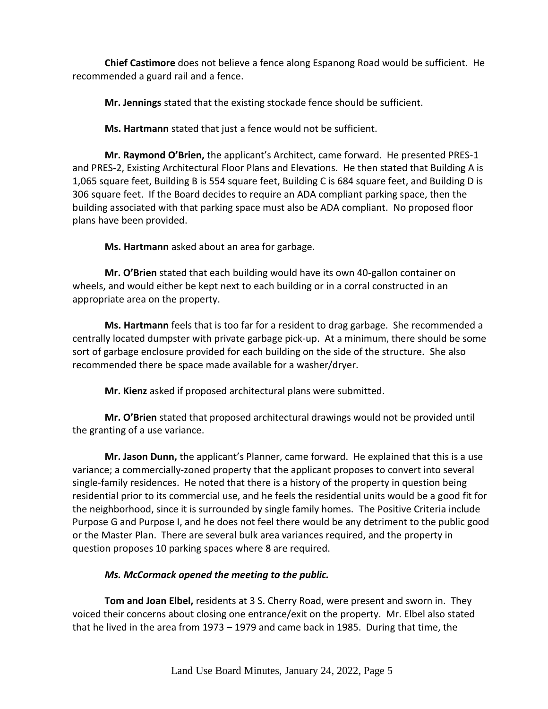**Chief Castimore** does not believe a fence along Espanong Road would be sufficient. He recommended a guard rail and a fence.

**Mr. Jennings** stated that the existing stockade fence should be sufficient.

**Ms. Hartmann** stated that just a fence would not be sufficient.

**Mr. Raymond O'Brien,** the applicant's Architect, came forward. He presented PRES-1 and PRES-2, Existing Architectural Floor Plans and Elevations. He then stated that Building A is 1,065 square feet, Building B is 554 square feet, Building C is 684 square feet, and Building D is 306 square feet. If the Board decides to require an ADA compliant parking space, then the building associated with that parking space must also be ADA compliant. No proposed floor plans have been provided.

**Ms. Hartmann** asked about an area for garbage.

**Mr. O'Brien** stated that each building would have its own 40-gallon container on wheels, and would either be kept next to each building or in a corral constructed in an appropriate area on the property.

**Ms. Hartmann** feels that is too far for a resident to drag garbage. She recommended a centrally located dumpster with private garbage pick-up. At a minimum, there should be some sort of garbage enclosure provided for each building on the side of the structure. She also recommended there be space made available for a washer/dryer.

**Mr. Kienz** asked if proposed architectural plans were submitted.

**Mr. O'Brien** stated that proposed architectural drawings would not be provided until the granting of a use variance.

**Mr. Jason Dunn,** the applicant's Planner, came forward. He explained that this is a use variance; a commercially-zoned property that the applicant proposes to convert into several single-family residences. He noted that there is a history of the property in question being residential prior to its commercial use, and he feels the residential units would be a good fit for the neighborhood, since it is surrounded by single family homes. The Positive Criteria include Purpose G and Purpose I, and he does not feel there would be any detriment to the public good or the Master Plan. There are several bulk area variances required, and the property in question proposes 10 parking spaces where 8 are required.

## *Ms. McCormack opened the meeting to the public.*

**Tom and Joan Elbel,** residents at 3 S. Cherry Road, were present and sworn in. They voiced their concerns about closing one entrance/exit on the property. Mr. Elbel also stated that he lived in the area from 1973 – 1979 and came back in 1985. During that time, the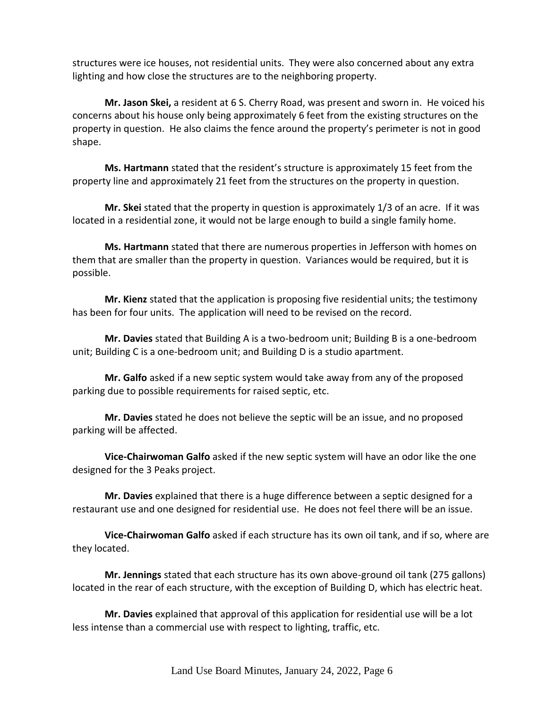structures were ice houses, not residential units. They were also concerned about any extra lighting and how close the structures are to the neighboring property.

**Mr. Jason Skei,** a resident at 6 S. Cherry Road, was present and sworn in. He voiced his concerns about his house only being approximately 6 feet from the existing structures on the property in question. He also claims the fence around the property's perimeter is not in good shape.

**Ms. Hartmann** stated that the resident's structure is approximately 15 feet from the property line and approximately 21 feet from the structures on the property in question.

**Mr. Skei** stated that the property in question is approximately 1/3 of an acre. If it was located in a residential zone, it would not be large enough to build a single family home.

**Ms. Hartmann** stated that there are numerous properties in Jefferson with homes on them that are smaller than the property in question. Variances would be required, but it is possible.

**Mr. Kienz** stated that the application is proposing five residential units; the testimony has been for four units. The application will need to be revised on the record.

**Mr. Davies** stated that Building A is a two-bedroom unit; Building B is a one-bedroom unit; Building C is a one-bedroom unit; and Building D is a studio apartment.

**Mr. Galfo** asked if a new septic system would take away from any of the proposed parking due to possible requirements for raised septic, etc.

**Mr. Davies** stated he does not believe the septic will be an issue, and no proposed parking will be affected.

**Vice-Chairwoman Galfo** asked if the new septic system will have an odor like the one designed for the 3 Peaks project.

**Mr. Davies** explained that there is a huge difference between a septic designed for a restaurant use and one designed for residential use. He does not feel there will be an issue.

**Vice-Chairwoman Galfo** asked if each structure has its own oil tank, and if so, where are they located.

**Mr. Jennings** stated that each structure has its own above-ground oil tank (275 gallons) located in the rear of each structure, with the exception of Building D, which has electric heat.

**Mr. Davies** explained that approval of this application for residential use will be a lot less intense than a commercial use with respect to lighting, traffic, etc.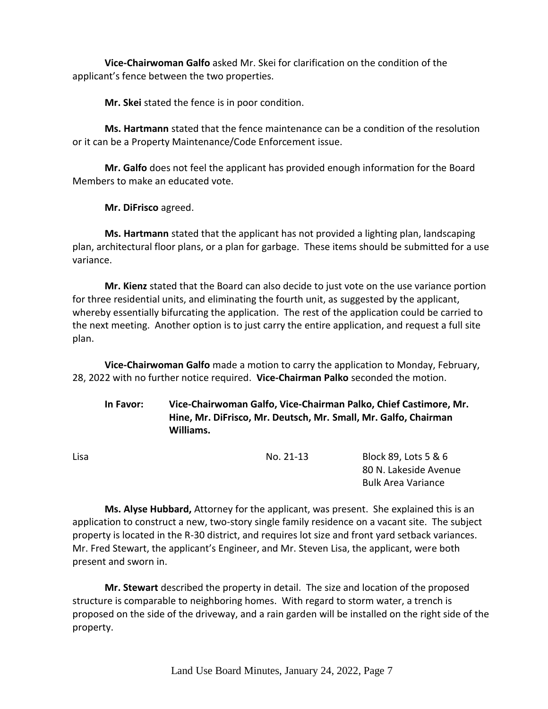**Vice-Chairwoman Galfo** asked Mr. Skei for clarification on the condition of the applicant's fence between the two properties.

**Mr. Skei** stated the fence is in poor condition.

**Ms. Hartmann** stated that the fence maintenance can be a condition of the resolution or it can be a Property Maintenance/Code Enforcement issue.

**Mr. Galfo** does not feel the applicant has provided enough information for the Board Members to make an educated vote.

**Mr. DiFrisco** agreed.

**Ms. Hartmann** stated that the applicant has not provided a lighting plan, landscaping plan, architectural floor plans, or a plan for garbage. These items should be submitted for a use variance.

**Mr. Kienz** stated that the Board can also decide to just vote on the use variance portion for three residential units, and eliminating the fourth unit, as suggested by the applicant, whereby essentially bifurcating the application. The rest of the application could be carried to the next meeting. Another option is to just carry the entire application, and request a full site plan.

**Vice-Chairwoman Galfo** made a motion to carry the application to Monday, February, 28, 2022 with no further notice required. **Vice-Chairman Palko** seconded the motion.

**In Favor: Vice-Chairwoman Galfo, Vice-Chairman Palko, Chief Castimore, Mr. Hine, Mr. DiFrisco, Mr. Deutsch, Mr. Small, Mr. Galfo, Chairman Williams.**

Lisa No. 21-13 Block 89, Lots 5 & 6 80 N. Lakeside Avenue Bulk Area Variance

**Ms. Alyse Hubbard,** Attorney for the applicant, was present. She explained this is an application to construct a new, two-story single family residence on a vacant site. The subject property is located in the R-30 district, and requires lot size and front yard setback variances. Mr. Fred Stewart, the applicant's Engineer, and Mr. Steven Lisa, the applicant, were both present and sworn in.

**Mr. Stewart** described the property in detail. The size and location of the proposed structure is comparable to neighboring homes. With regard to storm water, a trench is proposed on the side of the driveway, and a rain garden will be installed on the right side of the property.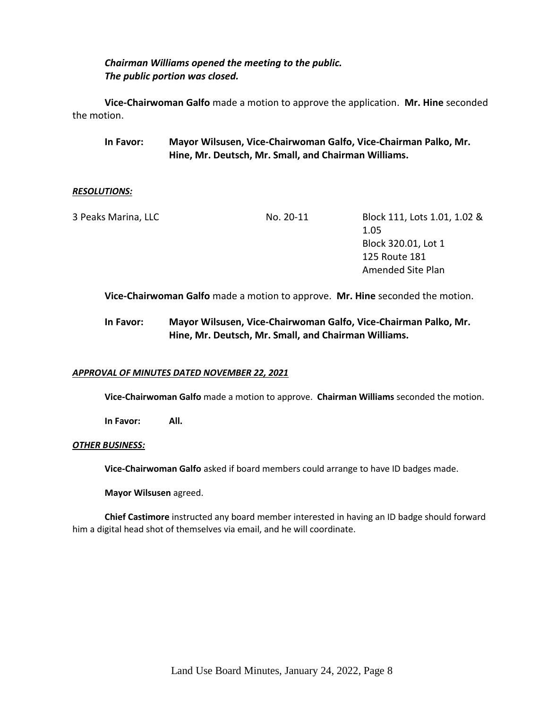## *Chairman Williams opened the meeting to the public. The public portion was closed.*

**Vice-Chairwoman Galfo** made a motion to approve the application. **Mr. Hine** seconded the motion.

**In Favor: Mayor Wilsusen, Vice-Chairwoman Galfo, Vice-Chairman Palko, Mr. Hine, Mr. Deutsch, Mr. Small, and Chairman Williams.**

#### *RESOLUTIONS:*

| 3 Peaks Marina, LLC | No. 20-11 | Block 111, Lots 1.01, 1.02 &                                                  |
|---------------------|-----------|-------------------------------------------------------------------------------|
|                     |           | 1.05                                                                          |
|                     |           | Block 320.01, Lot 1                                                           |
|                     |           | 125 Route 181                                                                 |
|                     |           | Amended Site Plan                                                             |
|                     |           |                                                                               |
|                     |           | Vice-Chairwoman Galfo made a motion to approve. Mr. Hine seconded the motion. |

## **In Favor: Mayor Wilsusen, Vice-Chairwoman Galfo, Vice-Chairman Palko, Mr. Hine, Mr. Deutsch, Mr. Small, and Chairman Williams.**

## *APPROVAL OF MINUTES DATED NOVEMBER 22, 2021*

**Vice-Chairwoman Galfo** made a motion to approve. **Chairman Williams** seconded the motion.

**In Favor: All.**

#### *OTHER BUSINESS:*

**Vice-Chairwoman Galfo** asked if board members could arrange to have ID badges made.

**Mayor Wilsusen** agreed.

**Chief Castimore** instructed any board member interested in having an ID badge should forward him a digital head shot of themselves via email, and he will coordinate.